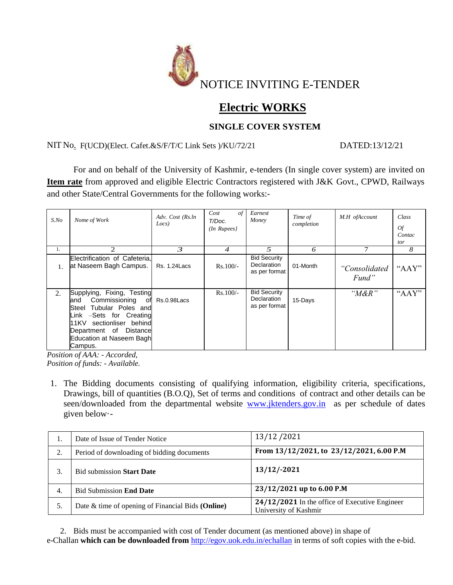

# **Electric WORKS**

## **SINGLE COVER SYSTEM**

NIT No. F(UCD)(Elect. Cafet.&S/F/T/C Link Sets )/KU/72/21 DATED:13/12/21

For and on behalf of the University of Kashmir, e-tenders (In single cover system) are invited on **Item rate** from approved and eligible Electric Contractors registered with J&K Govt., CPWD, Railways and other State/Central Governments for the following works:-

| $S$ .No | Nome of Work                                                                                                                                                                                                                    | Adv. Cost (Rs.ln<br>Locs) | $\sigma f$<br>Cost<br>T/Doc.<br>$(In$ Rupees $)$ | Earnest<br>Money                                    | Time of<br>completion | M.H ofAccount          | Class<br><b>Of</b><br>Contac<br>tor |
|---------|---------------------------------------------------------------------------------------------------------------------------------------------------------------------------------------------------------------------------------|---------------------------|--------------------------------------------------|-----------------------------------------------------|-----------------------|------------------------|-------------------------------------|
| 1.      | 2.                                                                                                                                                                                                                              | 3                         | 4                                                | 5                                                   | 6                     |                        | 8                                   |
|         | Electrification of Cafeteria,<br>at Naseem Bagh Campus.                                                                                                                                                                         | <b>Rs. 1.24 Lacs</b>      | $Rs.100/-$                                       | <b>Bid Security</b><br>Declaration<br>as per format | 01-Month              | "Consolidated<br>Fund" | " $AAY$ "                           |
| 2.      | Supplying, Fixing, Testing<br>Commissioning<br>land<br>of<br>Tubular Poles and<br>Steel<br>Link -Sets for Creating<br>sectionliser<br>11KV<br>behind<br><b>Distance</b><br>Department of<br>Education at Naseem Bagh<br>Campus. | Rs.0.98Lacs               | $Rs.100/-$                                       | <b>Bid Security</b><br>Declaration<br>as per format | 15-Days               | " $M\&R$ "             | " $AAY$ "                           |

*Position of AAA: - Accorded, Position of funds: - Available.*

1. The Bidding documents consisting of qualifying information, eligibility criteria, specifications, Drawings, bill of quantities (B.O.Q), Set of terms and conditions of contract and other details can be seen/downloaded from the departmental website [www.jktenders.gov.in](http://www.jktenders.gov.in/) as per schedule of dates given below·-

| Ī. | Date of Issue of Tender Notice                    | 13/12/2021                                                                |  |  |
|----|---------------------------------------------------|---------------------------------------------------------------------------|--|--|
| 2. | Period of downloading of bidding documents        | From 13/12/2021, to 23/12/2021, 6.00 P.M                                  |  |  |
| 3. | <b>Bid submission Start Date</b>                  | 13/12/-2021                                                               |  |  |
| 4. | <b>Bid Submission End Date</b>                    | 23/12/2021 up to 6.00 P.M                                                 |  |  |
| 5. | Date & time of opening of Financial Bids (Online) | $24/12/2021$ In the office of Executive Engineer<br>University of Kashmir |  |  |

2. Bids must be accompanied with cost of Tender document (as mentioned above) in shape of e-Challan **which can be downloaded from** <http://egov.uok.edu.in/echallan> in terms of soft copies with the e-bid.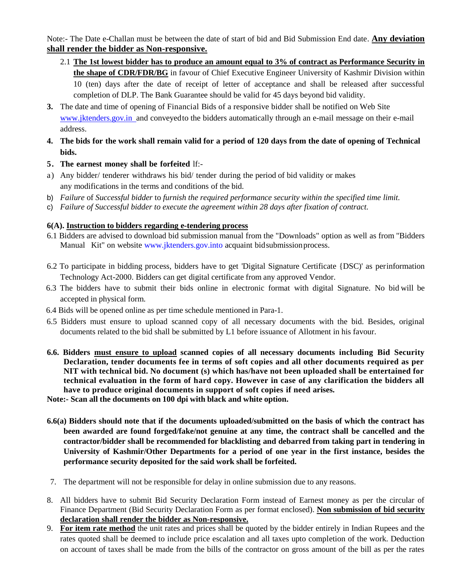Note:- The Date e-Challan must be between the date of start of bid and Bid Submission End date. **Any deviation shall render the bidder as Non-responsive.**

- 2.1 **The 1st lowest bidder has to produce an amount equal to 3% of contract as Performance Security in the shape of CDR/FDR/BG** in favour of Chief Executive Engineer University of Kashmir Division within 10 (ten) days after the date of receipt of letter of acceptance and shall be released after successful completion of DLP. The Bank Guarantee should be valid for 45 days beyond bid validity.
- **3.** The date and time of opening of Financial Bids of a responsive bidder shall be notified on Web Site www.jktenders.gov.in and conveyed to the bidders automatically through an e-mail message on their e-mail address.
- 4. The bids for the work shall remain valid for a period of 120 days from the date of opening of Technical **bids.**
- **5. The earnest money shall be forfeited** lf:-
- a) Any bidder/ tenderer withdraws his bid/ tender during the period of bid validity or makes any modifications in the terms and conditions of the bid.
- b) *Failure* of *Successful bidder* to *furnish the required performance security within the specified time limit.*
- c) *Failure of Successful bidder to execute the agreement within 28 days after fixation of contract.*

#### **6(A). Instruction to bidders regarding e-tendering process**

- 6.1 Bidders are advised to download bid submission manual from the "Downloads" option as well as from "Bidders Manual Kit" on website [www.jktenders.gov.into](http://www.jktenders.gov.into/) acquaint bid submission process.
- 6.2 To participate in bidding process, bidders have to get 'Digital Signature Certificate {DSC)' as perinformation Technology Act-2000. Bidders can get digital certificate from any approved Vendor.
- 6.3 The bidders have to submit their bids online in electronic format with digital Signature. No bid will be accepted in physical form.
- 6.4 Bids will be opened online as per time schedule mentioned in Para-1.
- 6.5 Bidders must ensure to upload scanned copy of all necessary documents with the bid. Besides, original documents related to the bid shall be submitted by L1 before issuance of Allotment in his favour.
- **6.6. Bidders must ensure to upload scanned copies of all necessary documents including Bid Security Declaration, tender documents fee in terms of soft copies and all other documents required as per NIT with technical bid. No document (s) which has/have not been uploaded shall be entertained for technical evaluation in the form of hard copy. However in case of any clarification the bidders all have to produce original documents in support of soft copies if need arises.**

**Note:- Scan all the documents on 100 dpi with black and white option.**

- **6.6(a) Bidders should note that if the documents uploaded/submitted on the basis of which the contract has been awarded are found forged/fake/not genuine at any time, the contract shall be cancelled and the contractor/bidder shall be recommended for blacklisting and debarred from taking part in tendering in University of Kashmir/Other Departments for a period of one year in the first instance, besides the performance security deposited for the said work shall be forfeited.**
- 7. The department will not be responsible for delay in online submission due to any reasons.
- 8. All bidders have to submit Bid Security Declaration Form instead of Earnest money as per the circular of Finance Department (Bid Security Declaration Form as per format enclosed). **Non submission of bid security declaration shall render the bidder as Non-responsive.**
- 9. **For item rate method** the unit rates and prices shall be quoted by the bidder entirely in Indian Rupees and the rates quoted shall be deemed to include price escalation and all taxes upto completion of the work. Deduction on account of taxes shall be made from the bills of the contractor on gross amount of the bill as per the rates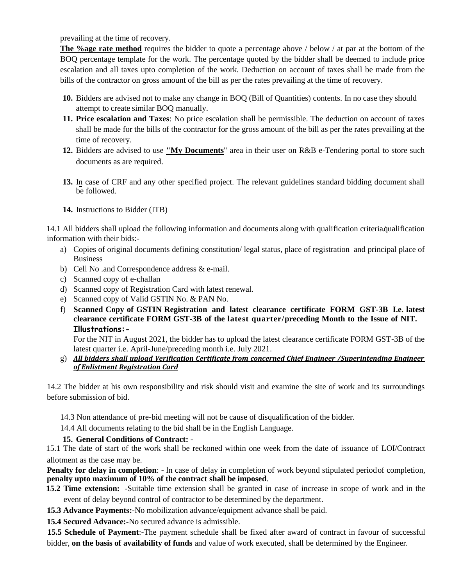prevailing at the time of recovery.

**The %age rate method** requires the bidder to quote a percentage above / below / at par at the bottom of the BOQ percentage template for the work. The percentage quoted by the bidder shall be deemed to include price escalation and all taxes upto completion of the work. Deduction on account of taxes shall be made from the bills of the contractor on gross amount of the bill as per the rates prevailing at the time of recovery.

- **10.** Bidders are advised not to make any change in BOQ (Bill of Quantities) contents. In no case they should attempt to create similar BOQ manually.
- **11. Price escalation and Taxes**: No price escalation shall be permissible. The deduction on account of taxes shall be made for the bills of the contractor for the gross amount of the bill as per the rates prevailing at the time of recovery.
- **12.** Bidders are advised to use **"My Documents**" area in their user on R&B e-Tendering portal to store such documents as are required.
- **13.** In case of CRF and any other specified project. The relevant guidelines standard bidding document shall be followed.
- **14.** Instructions to Bidder (ITB)

14.1 All bidders shall upload the following information and documents along with qualification criteria/qualification information with their bids:-

- a) Copies of original documents defining constitution/ legal status, place of registration and principal place of Business
- b) Cell No .and Correspondence address & e-mail.
- c) Scanned copy of e-challan
- d) Scanned copy of Registration Card with latest renewal.
- e) Scanned copy of Valid GSTIN No. & PAN No.
- f) **Scanned Copy of GSTIN Registration and latest clearance certificate FORM GST-3B I.e. latest clearance certificate FORM GST-3B of the latest quarter/preceding Month to the Issue of NIT. Illustrations:-**

For the NIT in August 2021, the bidder has to upload the latest clearance certificate FORM GST-3B of the latest quarter i.e. April-June/preceding month i.e. July 2021.

g) *All bidders shall upload Verification Certificate from concerned Chief Engineer /Superintending Engineer of Enlistment Registration Card*

14.2 The bidder at his own responsibility and risk should visit and examine the site of work and its surroundings before submission of bid.

14.3 Non attendance of pre-bid meeting will not be cause of disqualification of the bidder.

14.4 All documents relating to the bid shall be in the English Language.

## **15. General Conditions of Contract: -**

15.1 The date of start of the work shall be reckoned within one week from the date of issuance of LOI/Contract allotment as the case may be.

**Penalty for delay in completion**: - In case of delay in completion of work beyond stipulated periodof completion, **penalty upto maximum of 10% of the contract shall be imposed**.

- **15.2 Time extension:** -Suitable time extension shall be granted in case of increase in scope of work and in the event of delay beyond control of contractor to be determined by the department.
- **15.3 Advance Payments:-**No mobilization advance/equipment advance shall be paid.
- **15.4 Secured Advance:-**No secured advance is admissible.

**15.5 Schedule of Payment**:-The payment schedule shall be fixed after award of contract in favour of successful bidder, **on the basis of availability of funds** and value of work executed, shall be determined by the Engineer.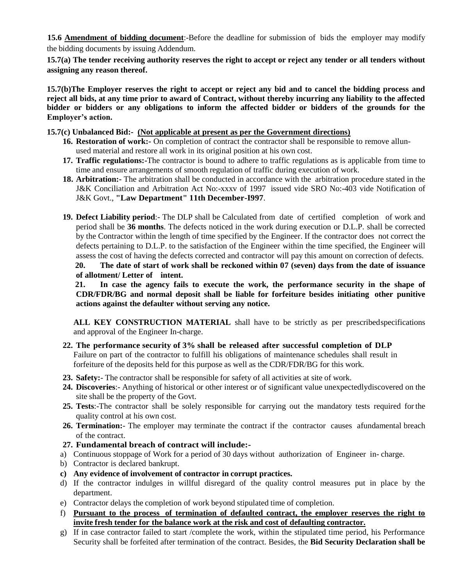**15.6 Amendment of bidding document**:-Before the deadline for submission of bids the employer may modify the bidding documents by issuing Addendum.

**15.7(a) The tender receiving authority reserves the right to accept or reject any tender or all tenders without assigning any reason thereof.**

**15.7(b)The Employer reserves the right to accept or reject any bid and to cancel the bidding process and reject all bids, at any time prior to award of Contract, without thereby incurring any liability to the affected bidder or bidders or any obligations to inform the affected bidder or bidders of the grounds for the Employer's action.**

**15.7(c) Unbalanced Bid:- (Not applicable at present as per the Government directions)**

- **16. Restoration of work:-** On completion of contract the contractor shall be responsible to remove allunused material and restore all work in its original position at his own cost.
- **17. Traffic regulations:-**The contractor is bound to adhere to traffic regulations as is applicable from time to time and ensure arrangements of smooth regulation of traffic during execution of work.
- **18. Arbitration:-** The arbitration shall be conducted in accordance with the arbitration procedure stated in the J&K Conciliation and Arbitration Act No:-xxxv of 1997 issued vide SRO No:-403 vide Notification of J&K Govt., **"Law Department" 11th December-I997**.
- **19. Defect Liability period**:- The DLP shall be Calculated from date of certified completion of work and period shall be **36 months**. The defects noticed in the work during execution or D.L.P. shall be corrected by the Contractor within the length of time specified by the Engineer. If the contractor does not correct the defects pertaining to D.L.P. to the satisfaction of the Engineer within the time specified, the Engineer will assess the cost of having the defects corrected and contractor will pay this amount on correction of defects.

**20. The date of start of work shall be reckoned within 07 (seven) days from the date of issuance of allotment/ Letter of intent.** 

**21. In case the agency fails to execute the work, the performance security in the shape of CDR/FDR/BG and normal deposit shall be liable for forfeiture besides initiating other punitive actions against the defaulter without serving any notice.**

**ALL KEY CONSTRUCTION MATERIAL** shall have to be strictly as per prescribedspecifications and approval of the Engineer In-charge.

- **22. The performance security of 3% shall be released after successful completion of DLP** Failure on part of the contractor to fulfill his obligations of maintenance schedules shall result in forfeiture of the deposits held for this purpose as well as the CDR/FDR/BG for this work.
- **23. Safety:** The contractor shall be responsible for safety of all activities at site of work.
- **24. Discoveries**:- Anything of historical or other interest or of significant value unexpectedlydiscovered on the site shall be the property of the Govt.
- **25. Tests**:-The contractor shall be solely responsible for carrying out the mandatory tests required for the quality control at his own cost.
- 26. Termination:- The employer may terminate the contract if the contractor causes afundamental breach of the contract.
- **27. Fundamental breach of contract will include:-**
- a) Continuous stoppage of Work for a period of 30 days without authorization of Engineer in- charge.
- b) Contractor is declared bankrupt.
- **c) Any evidence of involvement of contractor in corrupt practices.**
- d) If the contractor indulges in willful disregard of the quality control measures put in place by the department.
- e) Contractor delays the completion of work beyond stipulated time of completion.
- f) **Pursuant to the process of termination of defaulted contract, the employer reserves the right to invite fresh tender for the balance work at the risk and cost of defaulting contractor.**
- g) If in case contractor failed to start /complete the work, within the stipulated time period, his Performance Security shall be forfeited after termination of the contract. Besides, the **Bid Security Declaration shall be**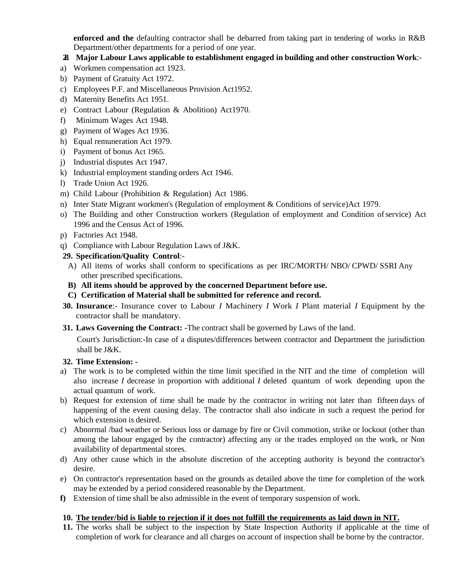**enforced and the** defaulting contractor shall be debarred from taking part in tendering of works in R&B Department/other departments for a period of one year.

#### **28. Major Labour Laws applicable to establishment engaged in building and other construction Work**:-

- a) Workmen compensation act 1923.
- b) Payment of Gratuity Act 1972.
- c) Employees P.F. and Miscellaneous Provision Act1952.
- d) Maternity Benefits Act 1951.
- e) Contract Labour (Regulation & Abolition) Act1970.
- f) Minimum Wages Act 1948.
- g) Payment of Wages Act 1936.
- h) Equal remuneration Act 1979.
- i) Payment of bonus Act 1965.
- j) Industrial disputes Act 1947.
- k) Industrial employment standing orders Act 1946.
- l) Trade Union Act 1926.
- m) Child Labour (Prohibition & Regulation) Act 1986.
- n) Inter State Migrant workmen's (Regulation of employment & Conditions of service)Act 1979.
- o) The Building and other Construction workers (Regulation of employment and Condition ofservice) Act 1996 and the Census Act of 1996.
- p) Factories Act 1948.
- q) Compliance with Labour Regulation Laws of J&K.

#### **29. Specification/Quality Control**:-

- A) All items of works shall conform to specifications as per IRC/MORTH/ NBO/ CPWD/ SSRI Any other prescribed specifications.
- **B) All items should be approved by the concerned Department before use.**
- **C) Certification of Material shall be submitted for reference and record.**
- **30. Insurance**:- Insurance cover to Labour *I* Machinery *I* Work *I* Plant material *I* Equipment by the contractor shall be mandatory.
- **31. Laws Governing the Contract: -**The contract shall be governed by Laws of the land.

Court's Jurisdiction:-In case of a disputes/differences between contractor and Department the jurisdiction shall be J&K.

#### **32. Time Extension: -**

- a) The work is to be completed within the time limit specified in the NIT and the time of completion will also increase *I* decrease in proportion with additional *I* deleted quantum of work depending upon the actual quantum of work.
- b) Request for extension of time shall be made by the contractor in writing not later than fifteen days of happening of the event causing delay. The contractor shall also indicate in such a request the period for which extension is desired.
- c) Abnormal /bad weather or Serious loss or damage by fire or Civil commotion, strike or lockout (other than among the labour engaged by the contractor) affecting any or the trades employed on the work, or Non availability of departmental stores.
- d) Any other cause which in the absolute discretion of the accepting authority is beyond the contractor's desire.
- e) On contractor's representation based on the grounds as detailed above the time for completion of the work may be extended by a period considered reasonable by the Department.
- **f)** Extension of time shall be also admissible in the event of temporary suspension of work.

#### **10. The tender/bid is liable to rejection if it does not fulfill the requirements as laid down in NIT.**

**11.** The works shall be subject to the inspection by State Inspection Authority if applicable at the time of completion of work for clearance and all charges on account of inspection shall be borne by the contractor.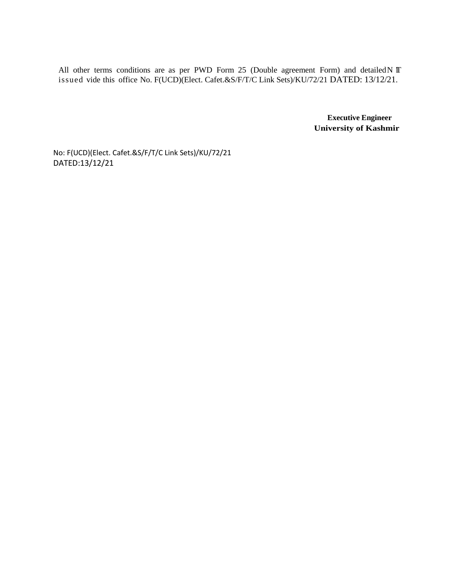All other terms conditions are as per PWD Form 25 (Double agreement Form) and detailed N IT issued vide this office No. F(UCD)(Elect. Cafet.&S/F/T/C Link Sets)/KU/72/21 DATED: 13/12/21.

> **Executive Engineer University of Kashmir**

No: F(UCD)(Elect. Cafet.&S/F/T/C Link Sets)/KU/72/21 DATED:13/12/21